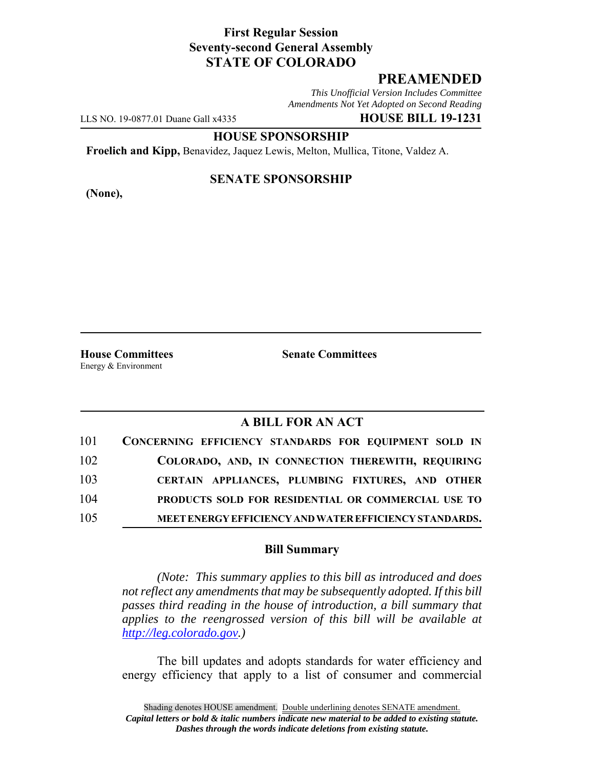## **First Regular Session Seventy-second General Assembly STATE OF COLORADO**

# **PREAMENDED**

*This Unofficial Version Includes Committee Amendments Not Yet Adopted on Second Reading*

LLS NO. 19-0877.01 Duane Gall x4335 **HOUSE BILL 19-1231**

**HOUSE SPONSORSHIP**

**Froelich and Kipp,** Benavidez, Jaquez Lewis, Melton, Mullica, Titone, Valdez A.

**(None),**

### **SENATE SPONSORSHIP**

**House Committees Senate Committees** Energy & Environment

### **A BILL FOR AN ACT**

| 101 | CONCERNING EFFICIENCY STANDARDS FOR EQUIPMENT SOLD IN  |
|-----|--------------------------------------------------------|
| 102 | COLORADO, AND, IN CONNECTION THEREWITH, REQUIRING      |
| 103 | CERTAIN APPLIANCES, PLUMBING FIXTURES, AND OTHER       |
| 104 | PRODUCTS SOLD FOR RESIDENTIAL OR COMMERCIAL USE TO     |
| 105 | MEET ENERGY EFFICIENCY AND WATER EFFICIENCY STANDARDS. |

#### **Bill Summary**

*(Note: This summary applies to this bill as introduced and does not reflect any amendments that may be subsequently adopted. If this bill passes third reading in the house of introduction, a bill summary that applies to the reengrossed version of this bill will be available at http://leg.colorado.gov.)*

The bill updates and adopts standards for water efficiency and energy efficiency that apply to a list of consumer and commercial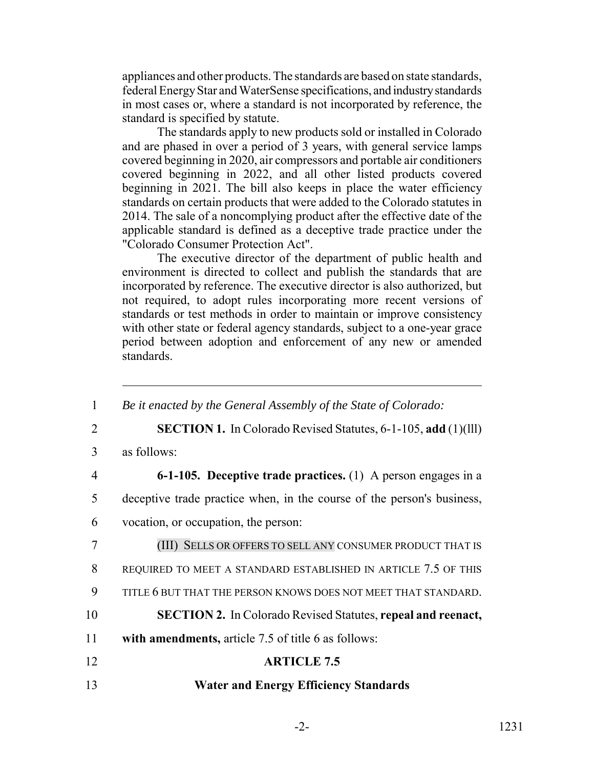appliances and other products. The standards are based on state standards, federal Energy Star and WaterSense specifications, and industry standards in most cases or, where a standard is not incorporated by reference, the standard is specified by statute.

The standards apply to new products sold or installed in Colorado and are phased in over a period of 3 years, with general service lamps covered beginning in 2020, air compressors and portable air conditioners covered beginning in 2022, and all other listed products covered beginning in 2021. The bill also keeps in place the water efficiency standards on certain products that were added to the Colorado statutes in 2014. The sale of a noncomplying product after the effective date of the applicable standard is defined as a deceptive trade practice under the "Colorado Consumer Protection Act".

The executive director of the department of public health and environment is directed to collect and publish the standards that are incorporated by reference. The executive director is also authorized, but not required, to adopt rules incorporating more recent versions of standards or test methods in order to maintain or improve consistency with other state or federal agency standards, subject to a one-year grace period between adoption and enforcement of any new or amended standards.

| $\mathbf{1}$   | Be it enacted by the General Assembly of the State of Colorado:        |
|----------------|------------------------------------------------------------------------|
| $\overline{2}$ | <b>SECTION 1.</b> In Colorado Revised Statutes, 6-1-105, add (1)(111)  |
| 3              | as follows:                                                            |
| $\overline{4}$ | <b>6-1-105.</b> Deceptive trade practices. (1) A person engages in a   |
| 5              | deceptive trade practice when, in the course of the person's business, |
| 6              | vocation, or occupation, the person:                                   |
| 7              | (III) SELLS OR OFFERS TO SELL ANY CONSUMER PRODUCT THAT IS             |
| 8              | REQUIRED TO MEET A STANDARD ESTABLISHED IN ARTICLE 7.5 OF THIS         |
| 9              | TITLE 6 BUT THAT THE PERSON KNOWS DOES NOT MEET THAT STANDARD.         |
| 10             | <b>SECTION 2.</b> In Colorado Revised Statutes, repeal and reenact,    |
| 11             | with amendments, article 7.5 of title 6 as follows:                    |
| 12             | <b>ARTICLE 7.5</b>                                                     |
| 13             | <b>Water and Energy Efficiency Standards</b>                           |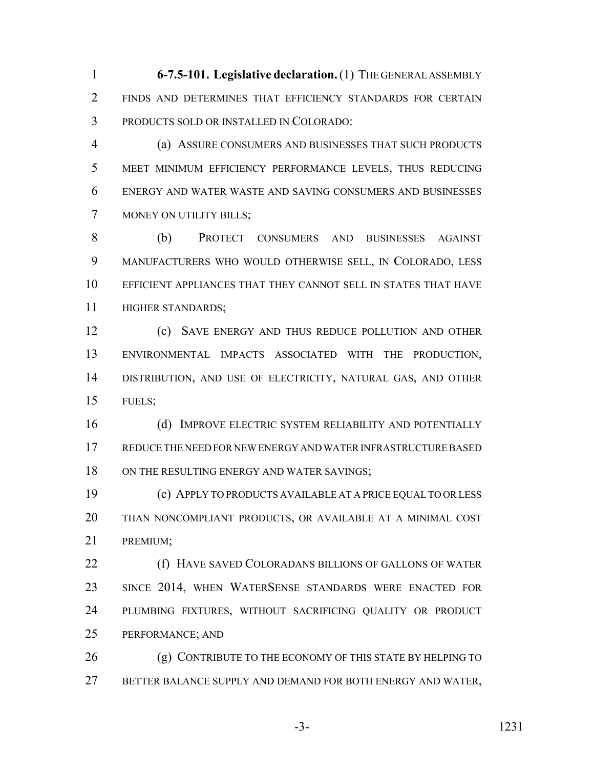**6-7.5-101. Legislative declaration.** (1) THE GENERAL ASSEMBLY FINDS AND DETERMINES THAT EFFICIENCY STANDARDS FOR CERTAIN PRODUCTS SOLD OR INSTALLED IN COLORADO:

 (a) ASSURE CONSUMERS AND BUSINESSES THAT SUCH PRODUCTS MEET MINIMUM EFFICIENCY PERFORMANCE LEVELS, THUS REDUCING ENERGY AND WATER WASTE AND SAVING CONSUMERS AND BUSINESSES MONEY ON UTILITY BILLS;

 (b) PROTECT CONSUMERS AND BUSINESSES AGAINST MANUFACTURERS WHO WOULD OTHERWISE SELL, IN COLORADO, LESS EFFICIENT APPLIANCES THAT THEY CANNOT SELL IN STATES THAT HAVE HIGHER STANDARDS;

 (c) SAVE ENERGY AND THUS REDUCE POLLUTION AND OTHER ENVIRONMENTAL IMPACTS ASSOCIATED WITH THE PRODUCTION, DISTRIBUTION, AND USE OF ELECTRICITY, NATURAL GAS, AND OTHER FUELS;

 (d) IMPROVE ELECTRIC SYSTEM RELIABILITY AND POTENTIALLY REDUCE THE NEED FOR NEW ENERGY AND WATER INFRASTRUCTURE BASED 18 ON THE RESULTING ENERGY AND WATER SAVINGS;

 (e) APPLY TO PRODUCTS AVAILABLE AT A PRICE EQUAL TO OR LESS THAN NONCOMPLIANT PRODUCTS, OR AVAILABLE AT A MINIMAL COST PREMIUM;

 (f) HAVE SAVED COLORADANS BILLIONS OF GALLONS OF WATER SINCE 2014, WHEN WATERSENSE STANDARDS WERE ENACTED FOR PLUMBING FIXTURES, WITHOUT SACRIFICING QUALITY OR PRODUCT PERFORMANCE; AND

26 (g) CONTRIBUTE TO THE ECONOMY OF THIS STATE BY HELPING TO BETTER BALANCE SUPPLY AND DEMAND FOR BOTH ENERGY AND WATER,

-3- 1231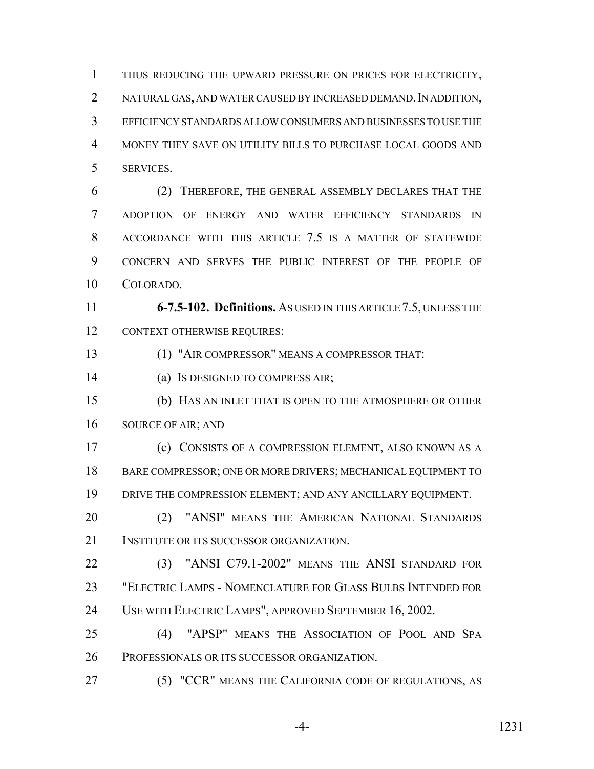THUS REDUCING THE UPWARD PRESSURE ON PRICES FOR ELECTRICITY, 2 NATURAL GAS, AND WATER CAUSED BY INCREASED DEMAND. IN ADDITION, EFFICIENCY STANDARDS ALLOW CONSUMERS AND BUSINESSES TO USE THE MONEY THEY SAVE ON UTILITY BILLS TO PURCHASE LOCAL GOODS AND SERVICES.

 (2) THEREFORE, THE GENERAL ASSEMBLY DECLARES THAT THE ADOPTION OF ENERGY AND WATER EFFICIENCY STANDARDS IN ACCORDANCE WITH THIS ARTICLE 7.5 IS A MATTER OF STATEWIDE CONCERN AND SERVES THE PUBLIC INTEREST OF THE PEOPLE OF COLORADO.

 **6-7.5-102. Definitions.** AS USED IN THIS ARTICLE 7.5, UNLESS THE CONTEXT OTHERWISE REQUIRES:

(1) "AIR COMPRESSOR" MEANS A COMPRESSOR THAT:

(a) IS DESIGNED TO COMPRESS AIR;

 (b) HAS AN INLET THAT IS OPEN TO THE ATMOSPHERE OR OTHER SOURCE OF AIR; AND

 (c) CONSISTS OF A COMPRESSION ELEMENT, ALSO KNOWN AS A BARE COMPRESSOR; ONE OR MORE DRIVERS; MECHANICAL EQUIPMENT TO DRIVE THE COMPRESSION ELEMENT; AND ANY ANCILLARY EQUIPMENT.

 (2) "ANSI" MEANS THE AMERICAN NATIONAL STANDARDS INSTITUTE OR ITS SUCCESSOR ORGANIZATION.

 (3) "ANSI C79.1-2002" MEANS THE ANSI STANDARD FOR "ELECTRIC LAMPS - NOMENCLATURE FOR GLASS BULBS INTENDED FOR USE WITH ELECTRIC LAMPS", APPROVED SEPTEMBER 16, 2002.

 (4) "APSP" MEANS THE ASSOCIATION OF POOL AND SPA PROFESSIONALS OR ITS SUCCESSOR ORGANIZATION.

(5) "CCR" MEANS THE CALIFORNIA CODE OF REGULATIONS, AS

-4- 1231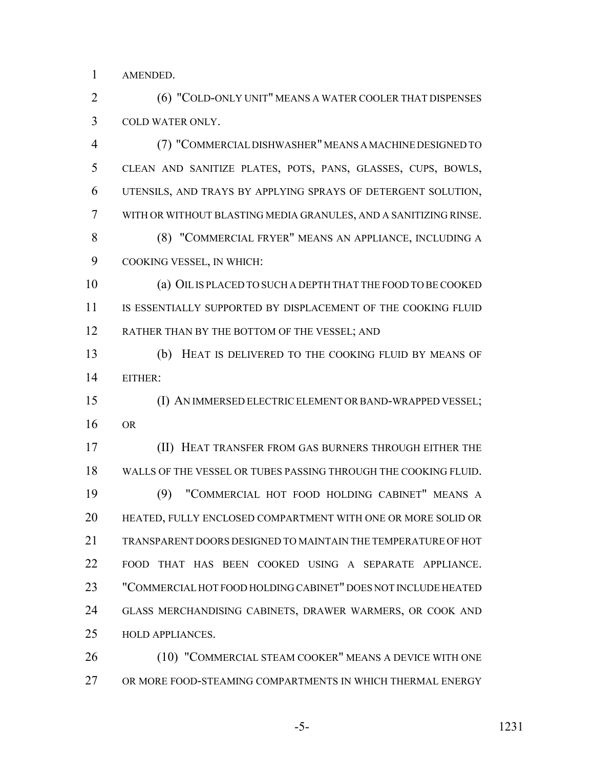AMENDED.

 (6) "COLD-ONLY UNIT" MEANS A WATER COOLER THAT DISPENSES COLD WATER ONLY.

 (7) "COMMERCIAL DISHWASHER" MEANS A MACHINE DESIGNED TO CLEAN AND SANITIZE PLATES, POTS, PANS, GLASSES, CUPS, BOWLS, UTENSILS, AND TRAYS BY APPLYING SPRAYS OF DETERGENT SOLUTION, WITH OR WITHOUT BLASTING MEDIA GRANULES, AND A SANITIZING RINSE. (8) "COMMERCIAL FRYER" MEANS AN APPLIANCE, INCLUDING A

COOKING VESSEL, IN WHICH:

 (a) OIL IS PLACED TO SUCH A DEPTH THAT THE FOOD TO BE COOKED IS ESSENTIALLY SUPPORTED BY DISPLACEMENT OF THE COOKING FLUID 12 RATHER THAN BY THE BOTTOM OF THE VESSEL; AND

 (b) HEAT IS DELIVERED TO THE COOKING FLUID BY MEANS OF EITHER:

 (I) AN IMMERSED ELECTRIC ELEMENT OR BAND-WRAPPED VESSEL; OR

 (II) HEAT TRANSFER FROM GAS BURNERS THROUGH EITHER THE WALLS OF THE VESSEL OR TUBES PASSING THROUGH THE COOKING FLUID. (9) "COMMERCIAL HOT FOOD HOLDING CABINET" MEANS A HEATED, FULLY ENCLOSED COMPARTMENT WITH ONE OR MORE SOLID OR TRANSPARENT DOORS DESIGNED TO MAINTAIN THE TEMPERATURE OF HOT FOOD THAT HAS BEEN COOKED USING A SEPARATE APPLIANCE. "COMMERCIAL HOT FOOD HOLDING CABINET" DOES NOT INCLUDE HEATED GLASS MERCHANDISING CABINETS, DRAWER WARMERS, OR COOK AND HOLD APPLIANCES.

 (10) "COMMERCIAL STEAM COOKER" MEANS A DEVICE WITH ONE OR MORE FOOD-STEAMING COMPARTMENTS IN WHICH THERMAL ENERGY

-5- 1231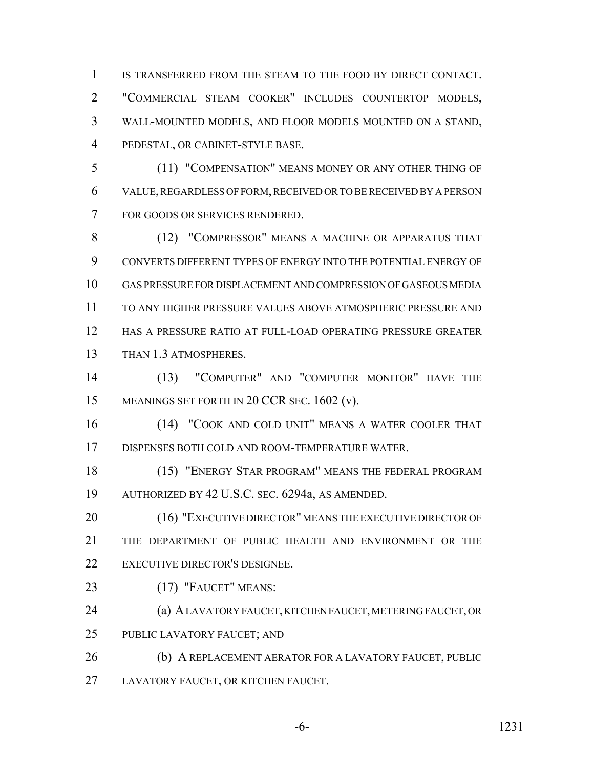IS TRANSFERRED FROM THE STEAM TO THE FOOD BY DIRECT CONTACT. "COMMERCIAL STEAM COOKER" INCLUDES COUNTERTOP MODELS, WALL-MOUNTED MODELS, AND FLOOR MODELS MOUNTED ON A STAND, PEDESTAL, OR CABINET-STYLE BASE.

 (11) "COMPENSATION" MEANS MONEY OR ANY OTHER THING OF VALUE, REGARDLESS OF FORM, RECEIVED OR TO BE RECEIVED BY A PERSON FOR GOODS OR SERVICES RENDERED.

 (12) "COMPRESSOR" MEANS A MACHINE OR APPARATUS THAT CONVERTS DIFFERENT TYPES OF ENERGY INTO THE POTENTIAL ENERGY OF GAS PRESSURE FOR DISPLACEMENT AND COMPRESSION OF GASEOUS MEDIA TO ANY HIGHER PRESSURE VALUES ABOVE ATMOSPHERIC PRESSURE AND HAS A PRESSURE RATIO AT FULL-LOAD OPERATING PRESSURE GREATER THAN 1.3 ATMOSPHERES.

 (13) "COMPUTER" AND "COMPUTER MONITOR" HAVE THE 15 MEANINGS SET FORTH IN 20 CCR SEC. 1602 (v).

 (14) "COOK AND COLD UNIT" MEANS A WATER COOLER THAT DISPENSES BOTH COLD AND ROOM-TEMPERATURE WATER.

 (15) "ENERGY STAR PROGRAM" MEANS THE FEDERAL PROGRAM AUTHORIZED BY 42 U.S.C. SEC. 6294a, AS AMENDED.

20 (16) "EXECUTIVE DIRECTOR" MEANS THE EXECUTIVE DIRECTOR OF THE DEPARTMENT OF PUBLIC HEALTH AND ENVIRONMENT OR THE EXECUTIVE DIRECTOR'S DESIGNEE.

(17) "FAUCET" MEANS:

 (a) A LAVATORY FAUCET, KITCHEN FAUCET, METERING FAUCET, OR PUBLIC LAVATORY FAUCET; AND

 (b) A REPLACEMENT AERATOR FOR A LAVATORY FAUCET, PUBLIC LAVATORY FAUCET, OR KITCHEN FAUCET.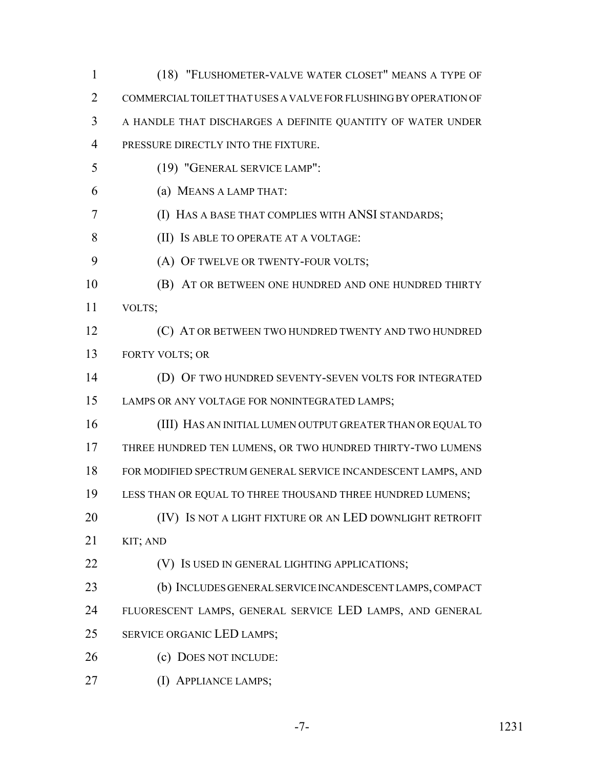| $\mathbf{1}$   | (18) "FLUSHOMETER-VALVE WATER CLOSET" MEANS A TYPE OF            |
|----------------|------------------------------------------------------------------|
| $\overline{2}$ | COMMERCIAL TOILET THAT USES A VALVE FOR FLUSHING BY OPERATION OF |
| 3              | A HANDLE THAT DISCHARGES A DEFINITE QUANTITY OF WATER UNDER      |
| $\overline{4}$ | PRESSURE DIRECTLY INTO THE FIXTURE.                              |
| 5              | (19) "GENERAL SERVICE LAMP":                                     |
| 6              | (a) MEANS A LAMP THAT:                                           |
| 7              | (I) HAS A BASE THAT COMPLIES WITH ANSI STANDARDS;                |
| 8              | (II) IS ABLE TO OPERATE AT A VOLTAGE:                            |
| 9              | (A) OF TWELVE OR TWENTY-FOUR VOLTS;                              |
| 10             | (B) AT OR BETWEEN ONE HUNDRED AND ONE HUNDRED THIRTY             |
| 11             | VOLTS;                                                           |
| 12             | (C) AT OR BETWEEN TWO HUNDRED TWENTY AND TWO HUNDRED             |
| 13             | FORTY VOLTS; OR                                                  |
| 14             | (D) OF TWO HUNDRED SEVENTY-SEVEN VOLTS FOR INTEGRATED            |
| 15             | LAMPS OR ANY VOLTAGE FOR NONINTEGRATED LAMPS;                    |
| 16             | (III) HAS AN INITIAL LUMEN OUTPUT GREATER THAN OR EQUAL TO       |
| 17             | THREE HUNDRED TEN LUMENS, OR TWO HUNDRED THIRTY-TWO LUMENS       |
| 18             | FOR MODIFIED SPECTRUM GENERAL SERVICE INCANDESCENT LAMPS, AND    |
| 19             | LESS THAN OR EQUAL TO THREE THOUSAND THREE HUNDRED LUMENS;       |
| 20             | (IV) IS NOT A LIGHT FIXTURE OR AN LED DOWNLIGHT RETROFIT         |
| 21             | KIT; AND                                                         |
| 22             | (V) IS USED IN GENERAL LIGHTING APPLICATIONS;                    |
| 23             | (b) INCLUDES GENERAL SERVICE INCANDESCENT LAMPS, COMPACT         |
| 24             | FLUORESCENT LAMPS, GENERAL SERVICE LED LAMPS, AND GENERAL        |
| 25             | SERVICE ORGANIC LED LAMPS;                                       |
| 26             | (c) DOES NOT INCLUDE:                                            |
| 27             | (I) APPLIANCE LAMPS;                                             |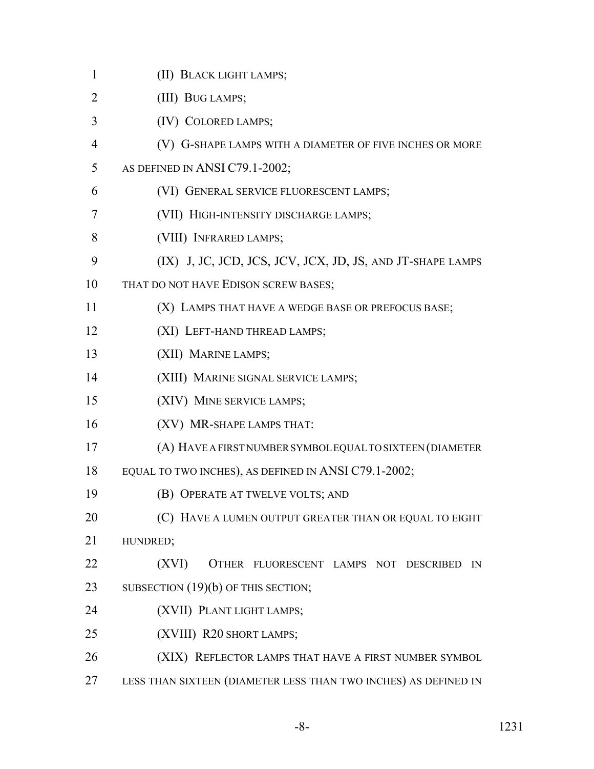| $\mathbf{1}$ | (II) BLACK LIGHT LAMPS;                                         |
|--------------|-----------------------------------------------------------------|
| 2            | (III) BUG LAMPS;                                                |
| 3            | (IV) COLORED LAMPS;                                             |
| 4            | (V) G-SHAPE LAMPS WITH A DIAMETER OF FIVE INCHES OR MORE        |
| 5            | AS DEFINED IN ANSI C79.1-2002;                                  |
| 6            | (VI) GENERAL SERVICE FLUORESCENT LAMPS;                         |
| 7            | (VII) HIGH-INTENSITY DISCHARGE LAMPS;                           |
| 8            | (VIII) INFRARED LAMPS;                                          |
| 9            | (IX) J, JC, JCD, JCS, JCV, JCX, JD, JS, AND JT-SHAPE LAMPS      |
| 10           | THAT DO NOT HAVE EDISON SCREW BASES;                            |
| 11           | (X) LAMPS THAT HAVE A WEDGE BASE OR PREFOCUS BASE;              |
| 12           | (XI) LEFT-HAND THREAD LAMPS;                                    |
| 13           | (XII) MARINE LAMPS;                                             |
| 14           | (XIII) MARINE SIGNAL SERVICE LAMPS;                             |
| 15           | (XIV) MINE SERVICE LAMPS;                                       |
| 16           | (XV) MR-SHAPE LAMPS THAT:                                       |
| 17           | (A) HAVE A FIRST NUMBER SYMBOL EQUAL TO SIXTEEN (DIAMETER       |
| 18           | EQUAL TO TWO INCHES), AS DEFINED IN ANSI C79.1-2002;            |
| 19           | (B) OPERATE AT TWELVE VOLTS; AND                                |
| 20           | (C) HAVE A LUMEN OUTPUT GREATER THAN OR EQUAL TO EIGHT          |
| 21           | HUNDRED;                                                        |
| 22           | (XVI)<br>OTHER FLUORESCENT LAMPS NOT DESCRIBED<br>IN            |
| 23           | SUBSECTION (19)(b) OF THIS SECTION;                             |
| 24           | (XVII) PLANT LIGHT LAMPS;                                       |
| 25           | (XVIII) R20 SHORT LAMPS;                                        |
| 26           | (XIX) REFLECTOR LAMPS THAT HAVE A FIRST NUMBER SYMBOL           |
| 27           | LESS THAN SIXTEEN (DIAMETER LESS THAN TWO INCHES) AS DEFINED IN |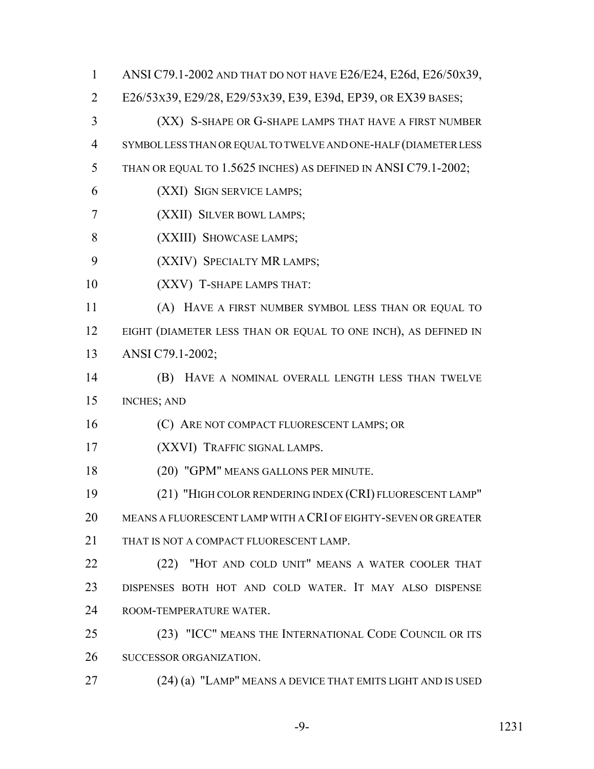ANSI C79.1-2002 AND THAT DO NOT HAVE E26/E24, E26d, E26/50X39, E26/53X39, E29/28, E29/53X39, E39, E39d, EP39, OR EX39 BASES; (XX) S-SHAPE OR G-SHAPE LAMPS THAT HAVE A FIRST NUMBER SYMBOL LESS THAN OR EQUAL TO TWELVE AND ONE-HALF (DIAMETER LESS THAN OR EQUAL TO 1.5625 INCHES) AS DEFINED IN ANSI C79.1-2002; (XXI) SIGN SERVICE LAMPS; (XXII) SILVER BOWL LAMPS; (XXIII) SHOWCASE LAMPS; (XXIV) SPECIALTY MR LAMPS; (XXV) T-SHAPE LAMPS THAT: (A) HAVE A FIRST NUMBER SYMBOL LESS THAN OR EQUAL TO 12 EIGHT (DIAMETER LESS THAN OR EQUAL TO ONE INCH), AS DEFINED IN ANSI C79.1-2002; (B) HAVE A NOMINAL OVERALL LENGTH LESS THAN TWELVE INCHES; AND (C) ARE NOT COMPACT FLUORESCENT LAMPS; OR (XXVI) TRAFFIC SIGNAL LAMPS. (20) "GPM" MEANS GALLONS PER MINUTE. (21) "HIGH COLOR RENDERING INDEX (CRI) FLUORESCENT LAMP" MEANS A FLUORESCENT LAMP WITH A CRI OF EIGHTY-SEVEN OR GREATER 21 THAT IS NOT A COMPACT FLUORESCENT LAMP. (22) "HOT AND COLD UNIT" MEANS A WATER COOLER THAT DISPENSES BOTH HOT AND COLD WATER. IT MAY ALSO DISPENSE ROOM-TEMPERATURE WATER. (23) "ICC" MEANS THE INTERNATIONAL CODE COUNCIL OR ITS SUCCESSOR ORGANIZATION. (24) (a) "LAMP" MEANS A DEVICE THAT EMITS LIGHT AND IS USED

-9- 1231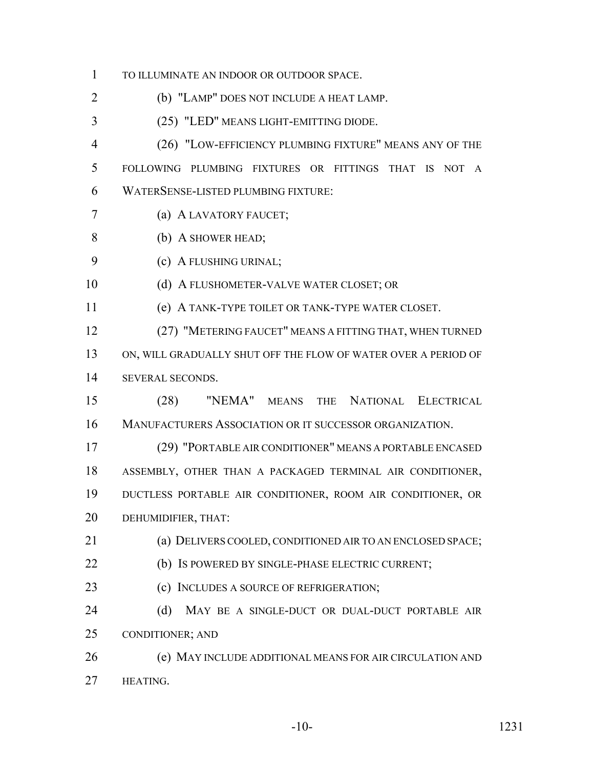TO ILLUMINATE AN INDOOR OR OUTDOOR SPACE.

(b) "LAMP" DOES NOT INCLUDE A HEAT LAMP.

(25) "LED" MEANS LIGHT-EMITTING DIODE.

 (26) "LOW-EFFICIENCY PLUMBING FIXTURE" MEANS ANY OF THE FOLLOWING PLUMBING FIXTURES OR FITTINGS THAT IS NOT A WATERSENSE-LISTED PLUMBING FIXTURE:

(a) A LAVATORY FAUCET;

- (b) A SHOWER HEAD;
- (c) A FLUSHING URINAL;

(d) A FLUSHOMETER-VALVE WATER CLOSET; OR

(e) A TANK-TYPE TOILET OR TANK-TYPE WATER CLOSET.

 (27) "METERING FAUCET" MEANS A FITTING THAT, WHEN TURNED ON, WILL GRADUALLY SHUT OFF THE FLOW OF WATER OVER A PERIOD OF SEVERAL SECONDS.

 (28) "NEMA" MEANS THE NATIONAL ELECTRICAL MANUFACTURERS ASSOCIATION OR IT SUCCESSOR ORGANIZATION.

 (29) "PORTABLE AIR CONDITIONER" MEANS A PORTABLE ENCASED ASSEMBLY, OTHER THAN A PACKAGED TERMINAL AIR CONDITIONER, DUCTLESS PORTABLE AIR CONDITIONER, ROOM AIR CONDITIONER, OR DEHUMIDIFIER, THAT:

(a) DELIVERS COOLED, CONDITIONED AIR TO AN ENCLOSED SPACE;

(b) IS POWERED BY SINGLE-PHASE ELECTRIC CURRENT;

23 (c) INCLUDES A SOURCE OF REFRIGERATION;

24 (d) MAY BE A SINGLE-DUCT OR DUAL-DUCT PORTABLE AIR CONDITIONER; AND

 (e) MAY INCLUDE ADDITIONAL MEANS FOR AIR CIRCULATION AND **HEATING.**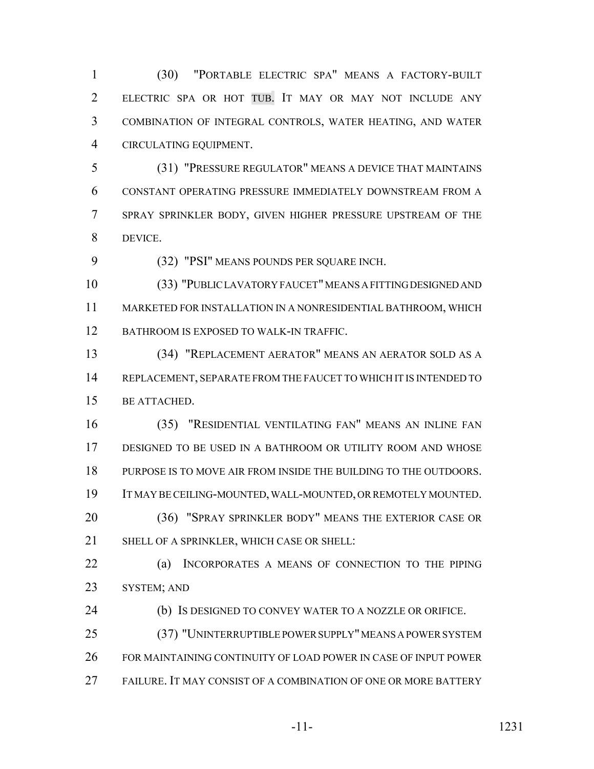(30) "PORTABLE ELECTRIC SPA" MEANS A FACTORY-BUILT ELECTRIC SPA OR HOT TUB. IT MAY OR MAY NOT INCLUDE ANY COMBINATION OF INTEGRAL CONTROLS, WATER HEATING, AND WATER CIRCULATING EQUIPMENT.

 (31) "PRESSURE REGULATOR" MEANS A DEVICE THAT MAINTAINS CONSTANT OPERATING PRESSURE IMMEDIATELY DOWNSTREAM FROM A SPRAY SPRINKLER BODY, GIVEN HIGHER PRESSURE UPSTREAM OF THE DEVICE.

(32) "PSI" MEANS POUNDS PER SQUARE INCH.

 (33) "PUBLIC LAVATORY FAUCET" MEANS A FITTING DESIGNED AND MARKETED FOR INSTALLATION IN A NONRESIDENTIAL BATHROOM, WHICH 12 BATHROOM IS EXPOSED TO WALK-IN TRAFFIC.

 (34) "REPLACEMENT AERATOR" MEANS AN AERATOR SOLD AS A REPLACEMENT, SEPARATE FROM THE FAUCET TO WHICH IT IS INTENDED TO BE ATTACHED.

 (35) "RESIDENTIAL VENTILATING FAN" MEANS AN INLINE FAN DESIGNED TO BE USED IN A BATHROOM OR UTILITY ROOM AND WHOSE PURPOSE IS TO MOVE AIR FROM INSIDE THE BUILDING TO THE OUTDOORS. IT MAY BE CEILING-MOUNTED, WALL-MOUNTED, OR REMOTELY MOUNTED. (36) "SPRAY SPRINKLER BODY" MEANS THE EXTERIOR CASE OR SHELL OF A SPRINKLER, WHICH CASE OR SHELL:

 (a) INCORPORATES A MEANS OF CONNECTION TO THE PIPING SYSTEM; AND

(b) IS DESIGNED TO CONVEY WATER TO A NOZZLE OR ORIFICE.

 (37) "UNINTERRUPTIBLE POWER SUPPLY" MEANS A POWER SYSTEM FOR MAINTAINING CONTINUITY OF LOAD POWER IN CASE OF INPUT POWER FAILURE. IT MAY CONSIST OF A COMBINATION OF ONE OR MORE BATTERY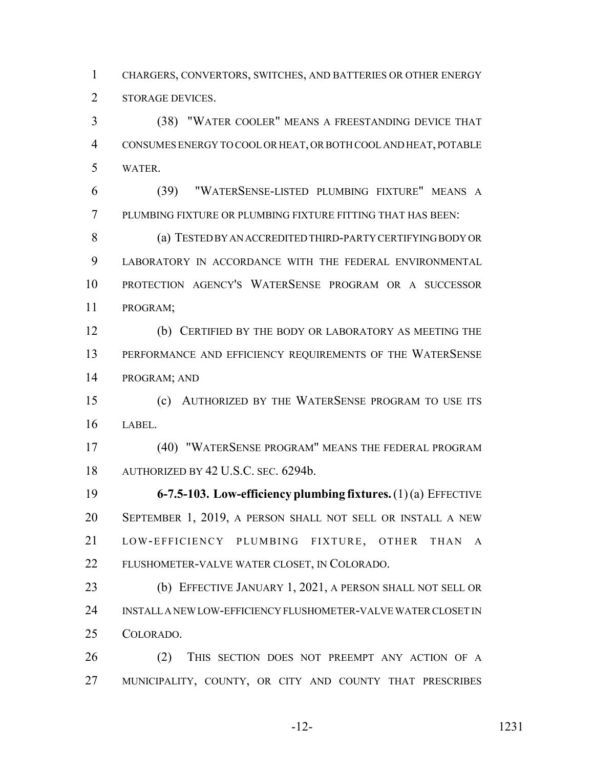CHARGERS, CONVERTORS, SWITCHES, AND BATTERIES OR OTHER ENERGY STORAGE DEVICES.

 (38) "WATER COOLER" MEANS A FREESTANDING DEVICE THAT CONSUMES ENERGY TO COOL OR HEAT, OR BOTH COOL AND HEAT, POTABLE WATER.

 (39) "WATERSENSE-LISTED PLUMBING FIXTURE" MEANS A PLUMBING FIXTURE OR PLUMBING FIXTURE FITTING THAT HAS BEEN:

 (a) TESTED BY AN ACCREDITED THIRD-PARTY CERTIFYING BODY OR LABORATORY IN ACCORDANCE WITH THE FEDERAL ENVIRONMENTAL PROTECTION AGENCY'S WATERSENSE PROGRAM OR A SUCCESSOR PROGRAM;

 (b) CERTIFIED BY THE BODY OR LABORATORY AS MEETING THE 13 PERFORMANCE AND EFFICIENCY REQUIREMENTS OF THE WATERSENSE PROGRAM; AND

 (c) AUTHORIZED BY THE WATERSENSE PROGRAM TO USE ITS LABEL.

 (40) "WATERSENSE PROGRAM" MEANS THE FEDERAL PROGRAM AUTHORIZED BY 42 U.S.C. SEC. 6294b.

 **6-7.5-103. Low-efficiency plumbing fixtures.** (1) (a) EFFECTIVE SEPTEMBER 1, 2019, A PERSON SHALL NOT SELL OR INSTALL A NEW LOW-EFFICIENCY PLUMBING FIXTURE, OTHER THAN A FLUSHOMETER-VALVE WATER CLOSET, IN COLORADO.

 (b) EFFECTIVE JANUARY 1, 2021, A PERSON SHALL NOT SELL OR INSTALL A NEW LOW-EFFICIENCY FLUSHOMETER-VALVE WATER CLOSET IN COLORADO.

 (2) THIS SECTION DOES NOT PREEMPT ANY ACTION OF A MUNICIPALITY, COUNTY, OR CITY AND COUNTY THAT PRESCRIBES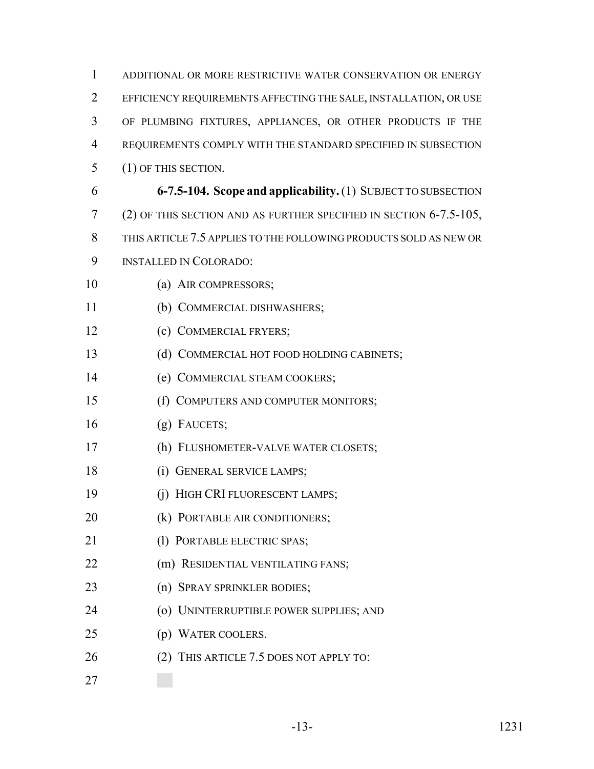| 1              | ADDITIONAL OR MORE RESTRICTIVE WATER CONSERVATION OR ENERGY           |
|----------------|-----------------------------------------------------------------------|
| 2              | EFFICIENCY REQUIREMENTS AFFECTING THE SALE, INSTALLATION, OR USE      |
| 3              | OF PLUMBING FIXTURES, APPLIANCES, OR OTHER PRODUCTS IF THE            |
| $\overline{4}$ | REQUIREMENTS COMPLY WITH THE STANDARD SPECIFIED IN SUBSECTION         |
| 5              | (1) OF THIS SECTION.                                                  |
| 6              | 6-7.5-104. Scope and applicability. (1) SUBJECT TO SUBSECTION         |
| 7              | (2) OF THIS SECTION AND AS FURTHER SPECIFIED IN SECTION $6-7.5-105$ , |
| 8              | THIS ARTICLE 7.5 APPLIES TO THE FOLLOWING PRODUCTS SOLD AS NEW OR     |
| 9              | <b>INSTALLED IN COLORADO:</b>                                         |
| 10             | (a) AIR COMPRESSORS;                                                  |
| 11             | (b) COMMERCIAL DISHWASHERS;                                           |
| 12             | (c) COMMERCIAL FRYERS;                                                |
| 13             | (d) COMMERCIAL HOT FOOD HOLDING CABINETS;                             |
| 14             | (e) COMMERCIAL STEAM COOKERS;                                         |
| 15             | (f) COMPUTERS AND COMPUTER MONITORS;                                  |
| 16             | $(g)$ FAUCETS;                                                        |
| 17             | (h) FLUSHOMETER-VALVE WATER CLOSETS;                                  |
| 18             | (i) GENERAL SERVICE LAMPS;                                            |
| 19             | (j) HIGH CRI FLUORESCENT LAMPS;                                       |
| 20             | (k) PORTABLE AIR CONDITIONERS;                                        |
| 21             | (1) PORTABLE ELECTRIC SPAS;                                           |
| 22             | (m) RESIDENTIAL VENTILATING FANS;                                     |
| 23             | (n) SPRAY SPRINKLER BODIES;                                           |
| 24             | (o) UNINTERRUPTIBLE POWER SUPPLIES; AND                               |
| 25             | (p) WATER COOLERS.                                                    |
| 26             | (2) THIS ARTICLE 7.5 DOES NOT APPLY TO:                               |
| 27             |                                                                       |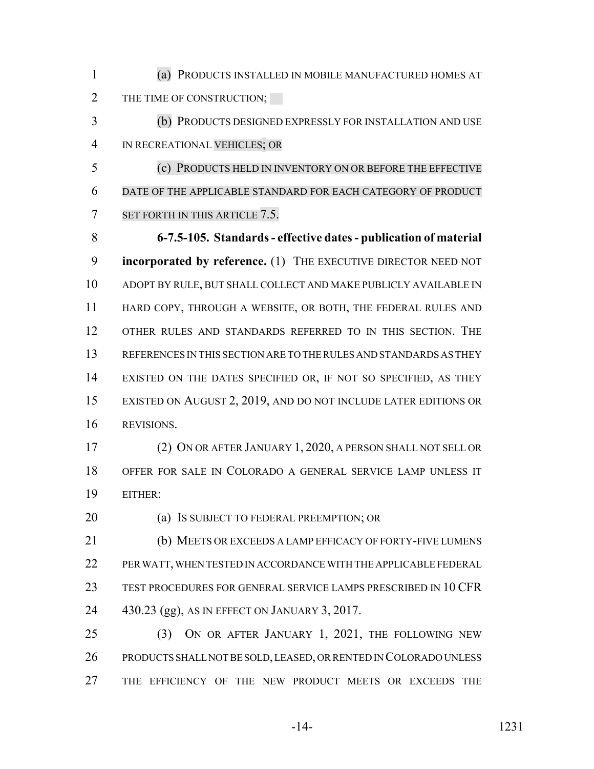(a) PRODUCTS INSTALLED IN MOBILE MANUFACTURED HOMES AT 2 THE TIME OF CONSTRUCTION;

 (b) PRODUCTS DESIGNED EXPRESSLY FOR INSTALLATION AND USE IN RECREATIONAL VEHICLES; OR

 (c) PRODUCTS HELD IN INVENTORY ON OR BEFORE THE EFFECTIVE DATE OF THE APPLICABLE STANDARD FOR EACH CATEGORY OF PRODUCT 7 SET FORTH IN THIS ARTICLE 7.5.

 **6-7.5-105. Standards - effective dates - publication of material incorporated by reference.** (1) THE EXECUTIVE DIRECTOR NEED NOT ADOPT BY RULE, BUT SHALL COLLECT AND MAKE PUBLICLY AVAILABLE IN HARD COPY, THROUGH A WEBSITE, OR BOTH, THE FEDERAL RULES AND OTHER RULES AND STANDARDS REFERRED TO IN THIS SECTION. THE REFERENCES IN THIS SECTION ARE TO THE RULES AND STANDARDS AS THEY EXISTED ON THE DATES SPECIFIED OR, IF NOT SO SPECIFIED, AS THEY EXISTED ON AUGUST 2, 2019, AND DO NOT INCLUDE LATER EDITIONS OR REVISIONS.

 (2) ON OR AFTER JANUARY 1, 2020, A PERSON SHALL NOT SELL OR OFFER FOR SALE IN COLORADO A GENERAL SERVICE LAMP UNLESS IT EITHER:

**(a) IS SUBJECT TO FEDERAL PREEMPTION; OR** 

 (b) MEETS OR EXCEEDS A LAMP EFFICACY OF FORTY-FIVE LUMENS PER WATT, WHEN TESTED IN ACCORDANCE WITH THE APPLICABLE FEDERAL TEST PROCEDURES FOR GENERAL SERVICE LAMPS PRESCRIBED IN 10 CFR 430.23 (gg), AS IN EFFECT ON JANUARY 3, 2017.

 (3) ON OR AFTER JANUARY 1, 2021, THE FOLLOWING NEW PRODUCTS SHALL NOT BE SOLD, LEASED, OR RENTED IN COLORADO UNLESS THE EFFICIENCY OF THE NEW PRODUCT MEETS OR EXCEEDS THE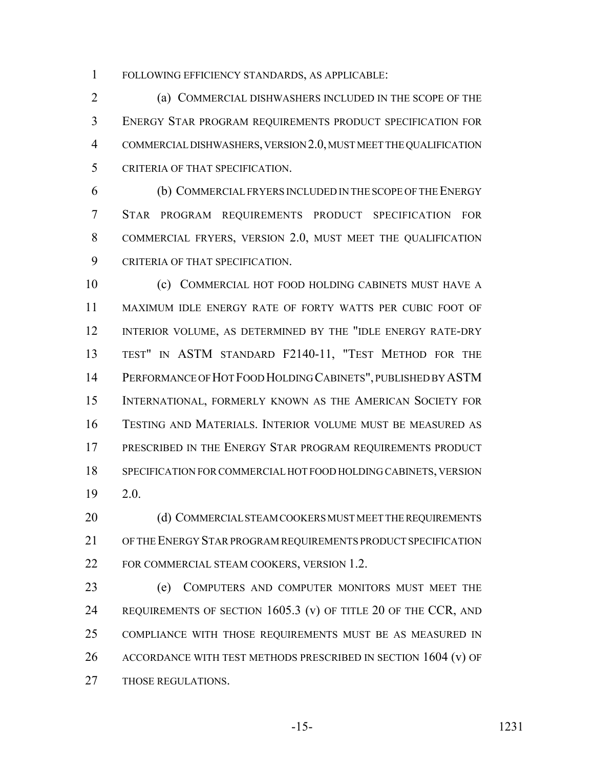FOLLOWING EFFICIENCY STANDARDS, AS APPLICABLE:

 (a) COMMERCIAL DISHWASHERS INCLUDED IN THE SCOPE OF THE ENERGY STAR PROGRAM REQUIREMENTS PRODUCT SPECIFICATION FOR COMMERCIAL DISHWASHERS, VERSION 2.0, MUST MEET THE QUALIFICATION CRITERIA OF THAT SPECIFICATION.

 (b) COMMERCIAL FRYERS INCLUDED IN THE SCOPE OF THE ENERGY STAR PROGRAM REQUIREMENTS PRODUCT SPECIFICATION FOR COMMERCIAL FRYERS, VERSION 2.0, MUST MEET THE QUALIFICATION CRITERIA OF THAT SPECIFICATION.

 (c) COMMERCIAL HOT FOOD HOLDING CABINETS MUST HAVE A MAXIMUM IDLE ENERGY RATE OF FORTY WATTS PER CUBIC FOOT OF INTERIOR VOLUME, AS DETERMINED BY THE "IDLE ENERGY RATE-DRY TEST" IN ASTM STANDARD F2140-11, "TEST METHOD FOR THE PERFORMANCE OF HOT FOOD HOLDING CABINETS", PUBLISHED BY ASTM INTERNATIONAL, FORMERLY KNOWN AS THE AMERICAN SOCIETY FOR TESTING AND MATERIALS. INTERIOR VOLUME MUST BE MEASURED AS PRESCRIBED IN THE ENERGY STAR PROGRAM REQUIREMENTS PRODUCT SPECIFICATION FOR COMMERCIAL HOT FOOD HOLDING CABINETS, VERSION 2.0.

20 (d) COMMERCIAL STEAM COOKERS MUST MEET THE REQUIREMENTS OF THE ENERGY STAR PROGRAM REQUIREMENTS PRODUCT SPECIFICATION FOR COMMERCIAL STEAM COOKERS, VERSION 1.2.

 (e) COMPUTERS AND COMPUTER MONITORS MUST MEET THE 24 REQUIREMENTS OF SECTION 1605.3 (v) OF TITLE 20 OF THE CCR, AND COMPLIANCE WITH THOSE REQUIREMENTS MUST BE AS MEASURED IN ACCORDANCE WITH TEST METHODS PRESCRIBED IN SECTION 1604 (v) OF THOSE REGULATIONS.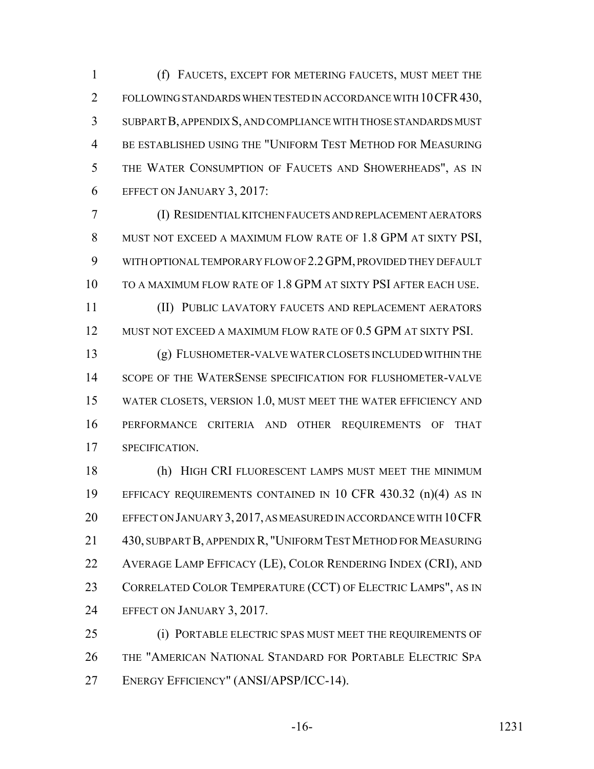(f) FAUCETS, EXCEPT FOR METERING FAUCETS, MUST MEET THE 2 FOLLOWING STANDARDS WHEN TESTED IN ACCORDANCE WITH 10 CFR 430, SUBPART B, APPENDIX S, AND COMPLIANCE WITH THOSE STANDARDS MUST BE ESTABLISHED USING THE "UNIFORM TEST METHOD FOR MEASURING THE WATER CONSUMPTION OF FAUCETS AND SHOWERHEADS", AS IN EFFECT ON JANUARY 3, 2017:

 (I) RESIDENTIAL KITCHEN FAUCETS AND REPLACEMENT AERATORS MUST NOT EXCEED A MAXIMUM FLOW RATE OF 1.8 GPM AT SIXTY PSI, WITH OPTIONAL TEMPORARY FLOW OF 2.2GPM, PROVIDED THEY DEFAULT TO A MAXIMUM FLOW RATE OF 1.8 GPM AT SIXTY PSI AFTER EACH USE.

 (II) PUBLIC LAVATORY FAUCETS AND REPLACEMENT AERATORS MUST NOT EXCEED A MAXIMUM FLOW RATE OF 0.5 GPM AT SIXTY PSI.

 (g) FLUSHOMETER-VALVE WATER CLOSETS INCLUDED WITHIN THE 14 SCOPE OF THE WATERSENSE SPECIFICATION FOR FLUSHOMETER-VALVE WATER CLOSETS, VERSION 1.0, MUST MEET THE WATER EFFICIENCY AND PERFORMANCE CRITERIA AND OTHER REQUIREMENTS OF THAT SPECIFICATION.

 (h) HIGH CRI FLUORESCENT LAMPS MUST MEET THE MINIMUM EFFICACY REQUIREMENTS CONTAINED IN 10 CFR 430.32 (n)(4) AS IN EFFECT ON JANUARY 3,2017, AS MEASURED IN ACCORDANCE WITH 10CFR 430, SUBPART B, APPENDIX R, "UNIFORM TEST METHOD FOR MEASURING AVERAGE LAMP EFFICACY (LE), COLOR RENDERING INDEX (CRI), AND 23 CORRELATED COLOR TEMPERATURE (CCT) OF ELECTRIC LAMPS", AS IN EFFECT ON JANUARY 3, 2017.

 (i) PORTABLE ELECTRIC SPAS MUST MEET THE REQUIREMENTS OF THE "AMERICAN NATIONAL STANDARD FOR PORTABLE ELECTRIC SPA ENERGY EFFICIENCY" (ANSI/APSP/ICC-14).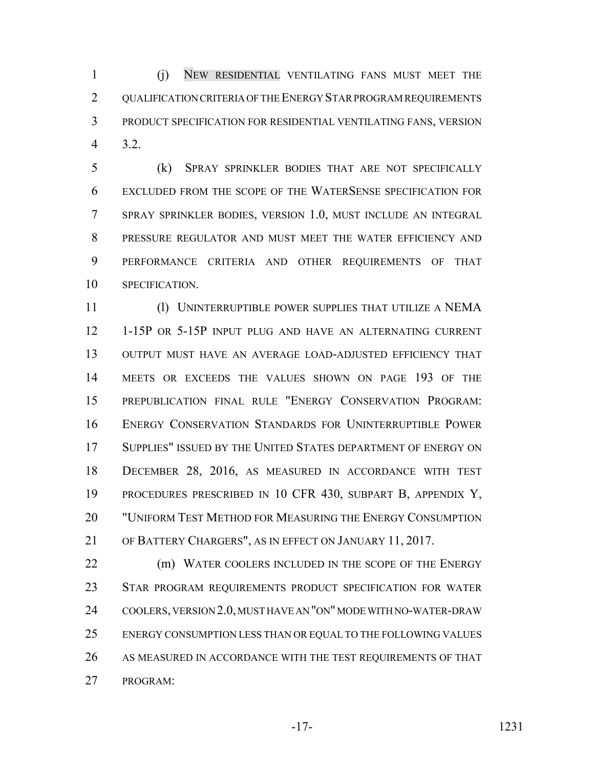(j) NEW RESIDENTIAL VENTILATING FANS MUST MEET THE 2 OUALIFICATION CRITERIA OF THE ENERGY STAR PROGRAM REQUIREMENTS PRODUCT SPECIFICATION FOR RESIDENTIAL VENTILATING FANS, VERSION 3.2.

 (k) SPRAY SPRINKLER BODIES THAT ARE NOT SPECIFICALLY EXCLUDED FROM THE SCOPE OF THE WATERSENSE SPECIFICATION FOR SPRAY SPRINKLER BODIES, VERSION 1.0, MUST INCLUDE AN INTEGRAL PRESSURE REGULATOR AND MUST MEET THE WATER EFFICIENCY AND PERFORMANCE CRITERIA AND OTHER REQUIREMENTS OF THAT SPECIFICATION.

 (l) UNINTERRUPTIBLE POWER SUPPLIES THAT UTILIZE A NEMA 1-15P OR 5-15P INPUT PLUG AND HAVE AN ALTERNATING CURRENT OUTPUT MUST HAVE AN AVERAGE LOAD-ADJUSTED EFFICIENCY THAT MEETS OR EXCEEDS THE VALUES SHOWN ON PAGE 193 OF THE PREPUBLICATION FINAL RULE "ENERGY CONSERVATION PROGRAM: ENERGY CONSERVATION STANDARDS FOR UNINTERRUPTIBLE POWER SUPPLIES" ISSUED BY THE UNITED STATES DEPARTMENT OF ENERGY ON DECEMBER 28, 2016, AS MEASURED IN ACCORDANCE WITH TEST PROCEDURES PRESCRIBED IN 10 CFR 430, SUBPART B, APPENDIX Y, "UNIFORM TEST METHOD FOR MEASURING THE ENERGY CONSUMPTION OF BATTERY CHARGERS", AS IN EFFECT ON JANUARY 11, 2017.

22 (m) WATER COOLERS INCLUDED IN THE SCOPE OF THE ENERGY STAR PROGRAM REQUIREMENTS PRODUCT SPECIFICATION FOR WATER COOLERS, VERSION 2.0, MUST HAVE AN "ON" MODE WITH NO-WATER-DRAW ENERGY CONSUMPTION LESS THAN OR EQUAL TO THE FOLLOWING VALUES AS MEASURED IN ACCORDANCE WITH THE TEST REQUIREMENTS OF THAT PROGRAM: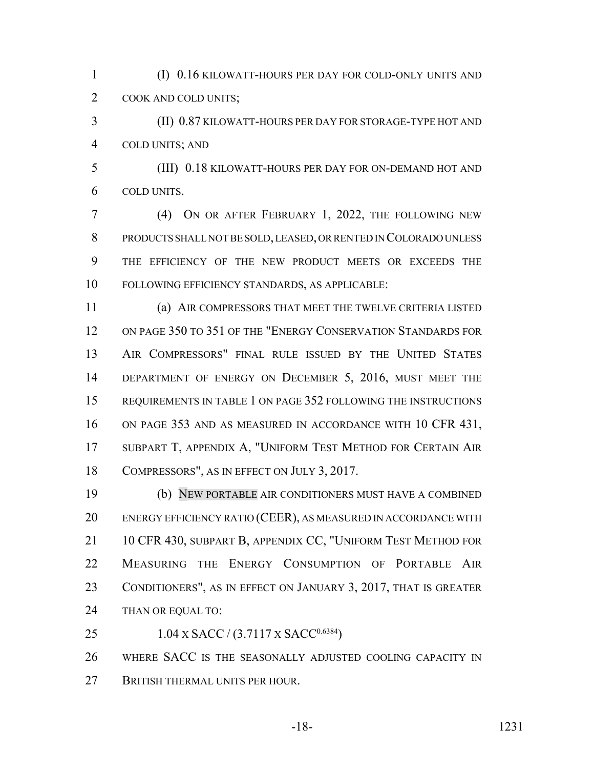(I) 0.16 KILOWATT-HOURS PER DAY FOR COLD-ONLY UNITS AND COOK AND COLD UNITS;

 (II) 0.87 KILOWATT-HOURS PER DAY FOR STORAGE-TYPE HOT AND COLD UNITS; AND

 (III) 0.18 KILOWATT-HOURS PER DAY FOR ON-DEMAND HOT AND COLD UNITS.

 (4) ON OR AFTER FEBRUARY 1, 2022, THE FOLLOWING NEW PRODUCTS SHALL NOT BE SOLD, LEASED, OR RENTED IN COLORADO UNLESS THE EFFICIENCY OF THE NEW PRODUCT MEETS OR EXCEEDS THE FOLLOWING EFFICIENCY STANDARDS, AS APPLICABLE:

 (a) AIR COMPRESSORS THAT MEET THE TWELVE CRITERIA LISTED ON PAGE 350 TO 351 OF THE "ENERGY CONSERVATION STANDARDS FOR AIR COMPRESSORS" FINAL RULE ISSUED BY THE UNITED STATES 14 DEPARTMENT OF ENERGY ON DECEMBER 5, 2016, MUST MEET THE REQUIREMENTS IN TABLE 1 ON PAGE 352 FOLLOWING THE INSTRUCTIONS ON PAGE 353 AND AS MEASURED IN ACCORDANCE WITH 10 CFR 431, SUBPART T, APPENDIX A, "UNIFORM TEST METHOD FOR CERTAIN AIR COMPRESSORS", AS IN EFFECT ON JULY 3, 2017.

 (b) NEW PORTABLE AIR CONDITIONERS MUST HAVE A COMBINED ENERGY EFFICIENCY RATIO (CEER), AS MEASURED IN ACCORDANCE WITH 21 10 CFR 430, SUBPART B, APPENDIX CC, "UNIFORM TEST METHOD FOR MEASURING THE ENERGY CONSUMPTION OF PORTABLE AIR CONDITIONERS", AS IN EFFECT ON JANUARY 3, 2017, THAT IS GREATER THAN OR EQUAL TO:

25 1.04 X SACC /  $(3.7117 \text{ X SACC}^{0.6384})$ 

 WHERE SACC IS THE SEASONALLY ADJUSTED COOLING CAPACITY IN 27 BRITISH THERMAL UNITS PER HOUR.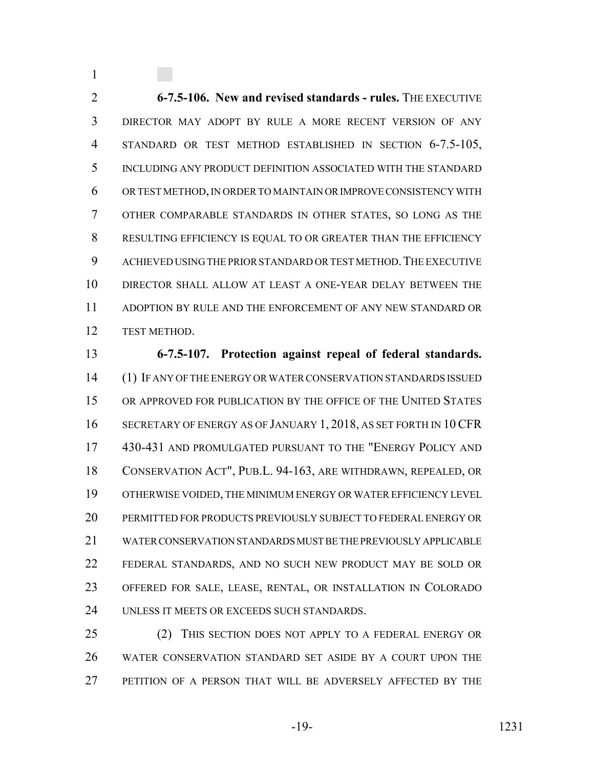**6-7.5-106. New and revised standards - rules.** THE EXECUTIVE DIRECTOR MAY ADOPT BY RULE A MORE RECENT VERSION OF ANY STANDARD OR TEST METHOD ESTABLISHED IN SECTION 6-7.5-105, INCLUDING ANY PRODUCT DEFINITION ASSOCIATED WITH THE STANDARD OR TEST METHOD, IN ORDER TO MAINTAIN OR IMPROVE CONSISTENCY WITH OTHER COMPARABLE STANDARDS IN OTHER STATES, SO LONG AS THE RESULTING EFFICIENCY IS EQUAL TO OR GREATER THAN THE EFFICIENCY 9 ACHIEVED USING THE PRIOR STANDARD OR TEST METHOD. THE EXECUTIVE DIRECTOR SHALL ALLOW AT LEAST A ONE-YEAR DELAY BETWEEN THE ADOPTION BY RULE AND THE ENFORCEMENT OF ANY NEW STANDARD OR TEST METHOD.

 **6-7.5-107. Protection against repeal of federal standards.** (1) IF ANY OF THE ENERGY OR WATER CONSERVATION STANDARDS ISSUED OR APPROVED FOR PUBLICATION BY THE OFFICE OF THE UNITED STATES 16 SECRETARY OF ENERGY AS OF JANUARY 1, 2018, AS SET FORTH IN 10 CFR 430-431 AND PROMULGATED PURSUANT TO THE "ENERGY POLICY AND CONSERVATION ACT", PUB.L. 94-163, ARE WITHDRAWN, REPEALED, OR OTHERWISE VOIDED, THE MINIMUM ENERGY OR WATER EFFICIENCY LEVEL PERMITTED FOR PRODUCTS PREVIOUSLY SUBJECT TO FEDERAL ENERGY OR WATER CONSERVATION STANDARDS MUST BE THE PREVIOUSLY APPLICABLE FEDERAL STANDARDS, AND NO SUCH NEW PRODUCT MAY BE SOLD OR OFFERED FOR SALE, LEASE, RENTAL, OR INSTALLATION IN COLORADO UNLESS IT MEETS OR EXCEEDS SUCH STANDARDS.

25 (2) THIS SECTION DOES NOT APPLY TO A FEDERAL ENERGY OR WATER CONSERVATION STANDARD SET ASIDE BY A COURT UPON THE PETITION OF A PERSON THAT WILL BE ADVERSELY AFFECTED BY THE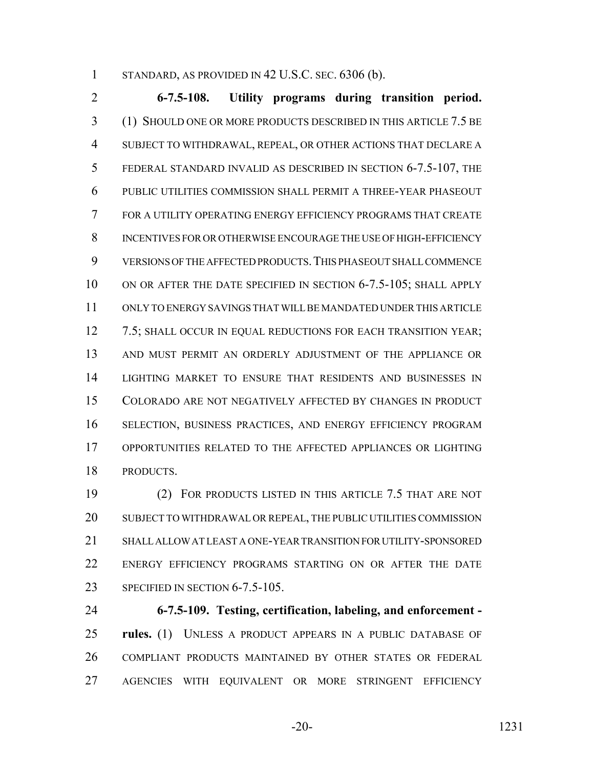STANDARD, AS PROVIDED IN 42 U.S.C. SEC. 6306 (b).

 **6-7.5-108. Utility programs during transition period.** (1) SHOULD ONE OR MORE PRODUCTS DESCRIBED IN THIS ARTICLE 7.5 BE SUBJECT TO WITHDRAWAL, REPEAL, OR OTHER ACTIONS THAT DECLARE A FEDERAL STANDARD INVALID AS DESCRIBED IN SECTION 6-7.5-107, THE PUBLIC UTILITIES COMMISSION SHALL PERMIT A THREE-YEAR PHASEOUT FOR A UTILITY OPERATING ENERGY EFFICIENCY PROGRAMS THAT CREATE INCENTIVES FOR OR OTHERWISE ENCOURAGE THE USE OF HIGH-EFFICIENCY VERSIONS OF THE AFFECTED PRODUCTS.THIS PHASEOUT SHALL COMMENCE 10 ON OR AFTER THE DATE SPECIFIED IN SECTION 6-7.5-105; SHALL APPLY ONLY TO ENERGY SAVINGS THAT WILL BE MANDATED UNDER THIS ARTICLE 12 7.5; SHALL OCCUR IN EQUAL REDUCTIONS FOR EACH TRANSITION YEAR; AND MUST PERMIT AN ORDERLY ADJUSTMENT OF THE APPLIANCE OR LIGHTING MARKET TO ENSURE THAT RESIDENTS AND BUSINESSES IN COLORADO ARE NOT NEGATIVELY AFFECTED BY CHANGES IN PRODUCT SELECTION, BUSINESS PRACTICES, AND ENERGY EFFICIENCY PROGRAM OPPORTUNITIES RELATED TO THE AFFECTED APPLIANCES OR LIGHTING PRODUCTS.

 (2) FOR PRODUCTS LISTED IN THIS ARTICLE 7.5 THAT ARE NOT SUBJECT TO WITHDRAWAL OR REPEAL, THE PUBLIC UTILITIES COMMISSION SHALL ALLOW AT LEAST A ONE-YEAR TRANSITION FOR UTILITY-SPONSORED ENERGY EFFICIENCY PROGRAMS STARTING ON OR AFTER THE DATE 23 SPECIFIED IN SECTION 6-7.5-105.

 **6-7.5-109. Testing, certification, labeling, and enforcement - rules.** (1) UNLESS A PRODUCT APPEARS IN A PUBLIC DATABASE OF COMPLIANT PRODUCTS MAINTAINED BY OTHER STATES OR FEDERAL AGENCIES WITH EQUIVALENT OR MORE STRINGENT EFFICIENCY